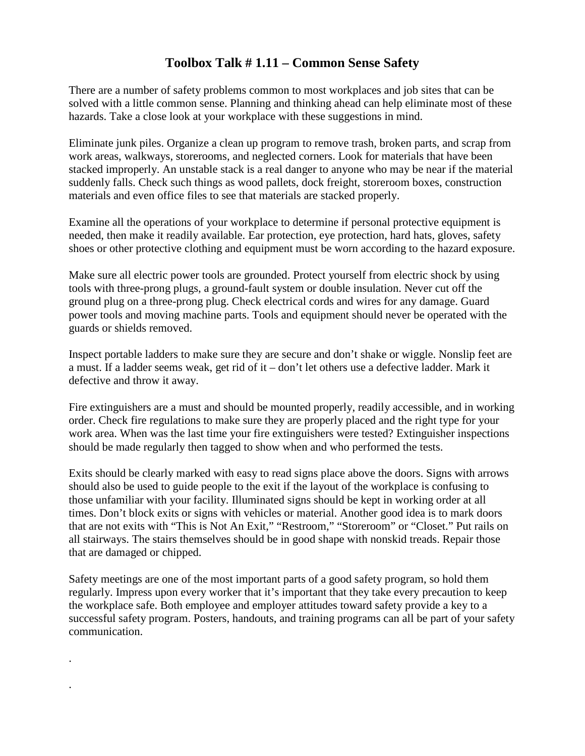## **Toolbox Talk # 1.11 – Common Sense Safety**

There are a number of safety problems common to most workplaces and job sites that can be solved with a little common sense. Planning and thinking ahead can help eliminate most of these hazards. Take a close look at your workplace with these suggestions in mind.

Eliminate junk piles. Organize a clean up program to remove trash, broken parts, and scrap from work areas, walkways, storerooms, and neglected corners. Look for materials that have been stacked improperly. An unstable stack is a real danger to anyone who may be near if the material suddenly falls. Check such things as wood pallets, dock freight, storeroom boxes, construction materials and even office files to see that materials are stacked properly.

Examine all the operations of your workplace to determine if personal protective equipment is needed, then make it readily available. Ear protection, eye protection, hard hats, gloves, safety shoes or other protective clothing and equipment must be worn according to the hazard exposure.

Make sure all electric power tools are grounded. Protect yourself from electric shock by using tools with three-prong plugs, a ground-fault system or double insulation. Never cut off the ground plug on a three-prong plug. Check electrical cords and wires for any damage. Guard power tools and moving machine parts. Tools and equipment should never be operated with the guards or shields removed.

Inspect portable ladders to make sure they are secure and don't shake or wiggle. Nonslip feet are a must. If a ladder seems weak, get rid of it – don't let others use a defective ladder. Mark it defective and throw it away.

Fire extinguishers are a must and should be mounted properly, readily accessible, and in working order. Check fire regulations to make sure they are properly placed and the right type for your work area. When was the last time your fire extinguishers were tested? Extinguisher inspections should be made regularly then tagged to show when and who performed the tests.

Exits should be clearly marked with easy to read signs place above the doors. Signs with arrows should also be used to guide people to the exit if the layout of the workplace is confusing to those unfamiliar with your facility. Illuminated signs should be kept in working order at all times. Don't block exits or signs with vehicles or material. Another good idea is to mark doors that are not exits with "This is Not An Exit," "Restroom," "Storeroom" or "Closet." Put rails on all stairways. The stairs themselves should be in good shape with nonskid treads. Repair those that are damaged or chipped.

Safety meetings are one of the most important parts of a good safety program, so hold them regularly. Impress upon every worker that it's important that they take every precaution to keep the workplace safe. Both employee and employer attitudes toward safety provide a key to a successful safety program. Posters, handouts, and training programs can all be part of your safety communication.

.

.